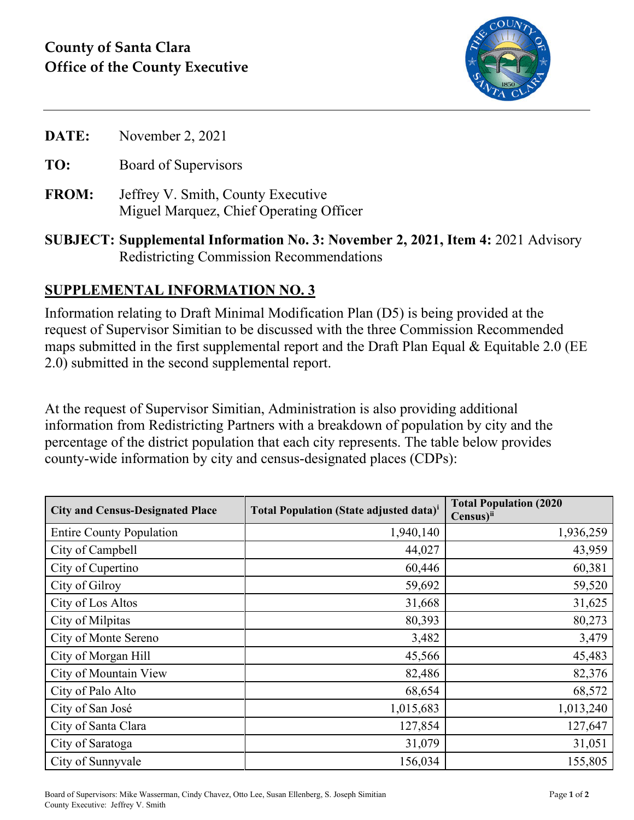

|  | November 2, 2021 | DATE: |
|--|------------------|-------|
|--|------------------|-------|

- **TO:** Board of Supervisors
- **FROM:** Jeffrey V. Smith, County Executive Miguel Marquez, Chief Operating Officer
- **SUBJECT: Supplemental Information No. 3: November 2, 2021, Item 4:** 2021 Advisory Redistricting Commission Recommendations

## **SUPPLEMENTAL INFORMATION NO. 3**

Information relating to Draft Minimal Modification Plan (D5) is being provided at the request of Supervisor Simitian to be discussed with the three Commission Recommended maps submitted in the first supplemental report and the Draft Plan Equal  $&$  Equitable 2.0 (EE 2.0) submitted in the second supplemental report.

At the request of Supervisor Simitian, Administration is also providing additional information from Redistricting Partners with a breakdown of population by city and the percentage of the district population that each city represents. The table below provides county-wide information by city and census-designated places (CDPs):

| <b>City and Census-Designated Place</b> | <b>Total Population (State adjusted data)</b> <sup>i</sup> | <b>Total Population (2020)</b><br>Census) <sup>ii</sup> |
|-----------------------------------------|------------------------------------------------------------|---------------------------------------------------------|
| <b>Entire County Population</b>         | 1,940,140                                                  | 1,936,259                                               |
| City of Campbell                        | 44,027                                                     | 43,959                                                  |
| City of Cupertino                       | 60,446                                                     | 60,381                                                  |
| City of Gilroy                          | 59,692                                                     | 59,520                                                  |
| City of Los Altos                       | 31,668                                                     | 31,625                                                  |
| City of Milpitas                        | 80,393                                                     | 80,273                                                  |
| City of Monte Sereno                    | 3,482                                                      | 3,479                                                   |
| City of Morgan Hill                     | 45,566                                                     | 45,483                                                  |
| City of Mountain View                   | 82,486                                                     | 82,376                                                  |
| City of Palo Alto                       | 68,654                                                     | 68,572                                                  |
| City of San José                        | 1,015,683                                                  | 1,013,240                                               |
| City of Santa Clara                     | 127,854                                                    | 127,647                                                 |
| City of Saratoga                        | 31,079                                                     | 31,051                                                  |
| City of Sunnyvale                       | 156,034                                                    | 155,805                                                 |